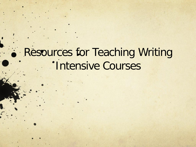## Resources for Teaching Writing **'Intensive Courses**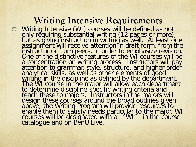#### **Writing Intensive Requirements**

Writing Intensive (WI) courses will be defined as not only requiring substantial writing (12 pages or more), but as giving instruction in writing as well. At least one assignment will receive attention in draft form, from the instructor or from peers, in order to emphasize revision. One of the distinctive features of the WI courses will be a concentration on writing process. Instructors will pay attention to grammar, style, structure, and higher order analytical skills, as well as other elements of good writing in the discipline as defined by the department. The WI course in the major will allow each department to determine discipline-specific writing criteria and<br>teach these to majors. Instructors in the majors will design these courses around the broad outlines given above; the Writing Program will provide resources to enable them to satisfy needs particular to the major. WI courses will be designated with a "WI" in the course catalogue and on BenU Live.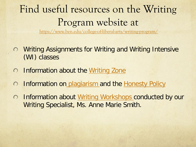## Find useful resources on the Writing Program website at

<https://www.ben.edu/college-of-liberal-arts/writing-program/>

- Writing Assignments for Writing and Writing Intensive (WI) classes
- Information about the [Writing Zone](https://www.ben.edu/college-of-liberal-arts/writing-program/writing-zone.cfm)  $\bigcirc$
- Information on [plagiarism](https://www.ben.edu/college-of-liberal-arts/writing-program/student-resources/citation-plagiarism.cfm) and the [Honesty Policy](http://www.ben.edu/degree-programs/ahp.cfm)  $\bigcirc$
- Information about [Writing Workshops c](https://www.ben.edu/college-of-liberal-arts/writing-program/student-resources/writing-workshops.cfm)onducted by our  $\bigcirc$ Writing Specialist, Ms. Anne Marie Smith.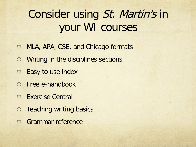### Consider using St. Martin's in your WI courses

- MLA, APA, CSE, and Chicago formats  $\bigcirc$
- **O** Writing in the disciplines sections
- Easy to use index  $\bigcirc$
- Free e-handbook
- Exercise Central
- **O** Teaching writing basics
- **C** Grammar reference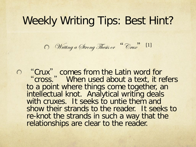#### Weekly Writing Tips: Best Hint?

Writing a Strong Thesis or "Crux" [1]

"Crux" comes from the Latin word for " cross. " When used about a text, it refers to a point where things come together, an intellectual knot. Analytical writing deals with cruxes. It seeks to untie them and show their strands to the reader. It seeks to re-knot the strands in such a way that the relationships are clear to the reader.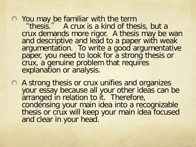**O** You may be familiar with the term

"thesis." A crux is a kind of thesis, but a crux demands more rigor. A thesis may be wan and descriptive and lead to a paper with weak argumentation. To write a good argumentative paper, you need to look for a strong thesis or crux, a genuine problem that requires explanation or analysis.

A strong thesis or crux unifies and organizes your essay because all your other ideas can be arranged in relation to it. Therefore, condensing your main idea into a recognizable thesis or crux will keep your main idea focused and clear in your head.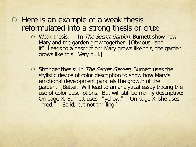#### $\circ$  Here is an example of a weak thesis reformulated into a strong thesis or crux:

- O Weak thesis: In The Secret Garden, Burnett show how Mary and the garden grow together. [Obvious, isn't it? Leads to a description: Mary grows like this, the garden grows like this. Very dull.]
- O Stronger thesis: In *The Secret Garden*, Burnett uses the stylistic device of color description to show how Mary's emotional development parallels the growth of the garden. [Better. Will lead to an analytical essay tracing the use of color descriptions. But will still be mainly descriptive: On page X, Burnett uses "yellow." On page X, she uses "red." Solid, but not thrilling.]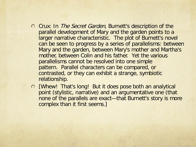- O Crux: In The Secret Garden, Burnett's description of the parallel development of Mary and the garden points to a larger narrative characteristic. The plot of Burnett's novel can be seen to progress by a series of parallelisms: between Mary and the garden, between Mary's mother and Martha's mother, between Colin and his father. Yet the various parallelisms cannot be resolved into one simple pattern. Parallel characters can be compared, or contrasted, or they can exhibit a strange, symbiotic relationship.
- [Whew! That's long! But it does pose both an analytical point (stylistic, narrative) and an argumentative one (that none of the parallels are exact—that Burnett's story is more complex than it first seems.]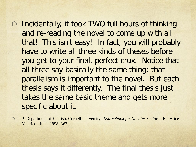- o Incidentally, it took TWO full hours of thinking and re-reading the novel to come up with all that! This isn't easy! In fact, you will probably have to write all three kinds of theses before you get to your final, perfect crux. Notice that all three say basically the same thing: that parallelism is important to the novel. But each thesis says it differently. The final thesis just takes the same basic theme and gets more specific about it.
- [1] Department of English, Cornell University. *Sourcebook for New Instructors*. Ed. Alice  $\bigcap$ Maurice. June, 1998: 367.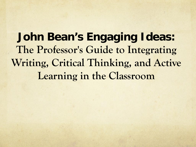**John Bean's Engaging Ideas: The Professor's Guide to Integrating Writing, Critical Thinking, and Active Learning in the Classroom**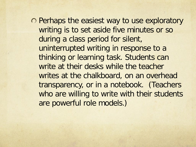Perhaps the easiest way to use exploratory writing is to set aside five minutes or so during a class period for silent, uninterrupted writing in response to a thinking or learning task. Students can write at their desks while the teacher writes at the chalkboard, on an overhead transparency, or in a notebook. (Teachers who are willing to write with their students are powerful role models.)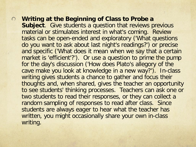**Writing at the Beginning of Class to Probe a Subject**. Give students a question that reviews previous material or stimulates interest in what's coming. Review tasks can be open-ended and exploratory ('What questions do you want to ask about last night's readings?') or precise and specific ('What does it mean when we say that a certain market is 'efficient'?'). Or use a question to prime the pump for the day's discussion ('How does Plato's allegory of the cave make you look at knowledge in a new way?'). In-class writing gives students a chance to gather and focus their thoughts and, when shared, gives the teacher an opportunity to see students' thinking processes. Teachers can ask one or two students to read their responses, or they can collect a random sampling of responses to read after class. Since students are always eager to hear what the teacher has written, you might occasionally share your own in-class writing.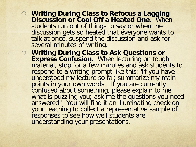- **Writing During Class to Refocus a Lagging Discussion or Cool Off a Heated One**. When students run out of things to say or when the discussion gets so heated that everyone wants to talk at once, suspend the discussion and ask for several minutes of writing.
- **Writing During Class to Ask Questions or Express Confusion**. When lecturing on tough material, stop for a few minutes and ask students to respond to a writing prompt like this: 'If you have understood my lecture so far, summarize my main points in your own words. If you are currently confused about something, please explain to me what is puzzling you; ask me the questions you need answered.' You will find it an illuminating check on your teaching to collect a representative sample of responses to see how well students are understanding your presentations.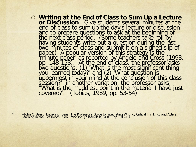**Writing at the End of Class to Sum Up a Lecture or Discussion**. Give students several minutes at the end of class to sum up the day's lecture or discussion and to prepare questions to ask at the beginning of the next class period. (Some teachers take roll by<br>having students write out a question during the last two minutes of class and submit it on a signed slip of paper.) A popular version of this strategy is the<br>'minute paper' as reported by Angelo and Cross (1993,<br>pp. 148-153). At the end of class, the professor asks<br>two questions: (1) 'What is the most significant thing<br>you learn session?' in another variation, the professor asks,<br>"What is the muddiest point in the material I have just covered?" (Tobias, 1989, pp. 53-54).

--John C. Bean. Engaging Ideas: The Professor's Guide to Integrating Writing, Critical Thinking, and Active Learning in the Classroom. San Francisco: Jossey-Bass, 2001. pp. 105-106.  $\bigcirc$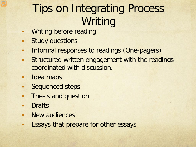# Tips on Integrating Process Writing

- **Writing before reading**
- **Study questions**
- **Informal responses to readings (One-pagers)**
- **Structured written engagement with the readings** coordinated with discussion.
- **Idea maps**
- **Sequenced steps**
- **Thesis and question**
- **Drafts**
- **New audiences**
- **Essays that prepare for other essays**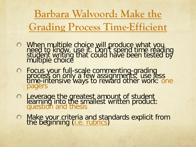**Barbara Walvoord: Make the Grading Process Time-Efficient**

- When multiple choice will produce what you need to know, use it. Don't spend time reading student writing that could have been tested by multiple choice
- **Example 20 Focus your full-scale commenting-grading process on only a few assignments; use less time-intensive ways to reward other work: one** pagers
- O Leverage the greatest amount of student learning into the smallest written product:<br>question and thesis
- Make your crit[eria and sta](http://www.ben.edu/programs/centers_institutes/writing/102biorubriccritique.doc)ndards explicit from<br>the beginning [\(i.e. rubrics\)](http://www.ben.edu/programs/centers_institutes/writing/102biorubriccritique.doc)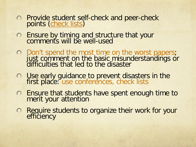- Provide student self-check and peer-check points [\(check lists\)](http://www1.ben.edu/programs/centers_institutes/writing/102biomat.htm)
- Ensure by timing and structure that your comments will be well-used
- Don't spend the most time on the worst papers; just comment on the basic misunderstandings or difficulties that led to the disaster
- Use early guidance to prevent disasters in the first place: use conferences, check lists
- Ensure that students have spent enough time to merit your attention
- ◯ Require students to organize their work for your efficiency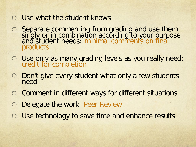- Use what the student knows  $\bigcap$
- Separate commenting from grading and use them singly or in combination according to your purpose and student needs: minimal comments on final products
- Use only as many grading levels as you really need: credit for completion
- Don't give every student what only a few students need  $\bigcirc$
- Comment in different ways for different situations  $\bigcirc$
- Delegate the work: [Peer Review](http://www1.ben.edu/programs/centers_institutes/writing/FacRes.htm)  $\bigcirc$
- Use technology to save time and enhance results $\bigcirc$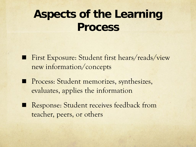### **Aspects of the Learning Process**

- First Exposure: Student first hears/reads/view new information/concepts
- **Process: Student memorizes, synthesizes,** evaluates, applies the information
- Response: Student receives feedback from teacher, peers, or others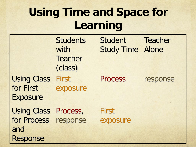# **Using Time and Space for Learning**

|                                                    | <b>Students</b><br>with<br><b>Teacher</b><br>(class) | <b>Student</b><br><b>Study Time</b> | <b>Teacher</b><br><b>Alone</b> |
|----------------------------------------------------|------------------------------------------------------|-------------------------------------|--------------------------------|
| <b>Using Class</b><br>for First<br><b>Exposure</b> | <b>First</b><br>exposure                             | <b>Process</b>                      | response                       |
| <b>Using Class</b>                                 | Process,                                             | <b>First</b>                        |                                |
| for Process                                        | response                                             | exposure                            |                                |
| and                                                |                                                      |                                     |                                |
| <b>Response</b>                                    |                                                      |                                     |                                |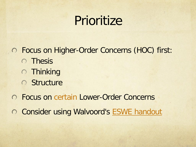# Prioritize

Focus on Higher-Order Concerns (HOC) first: **O** Thesis **O** Thinking **O** Structure

- Focus on certain Lower-Order Concerns
- O Consider using Walvoord's [ESWE handout](http://www1.ben.edu/programs/centers_institutes/writing/FacRes.htm)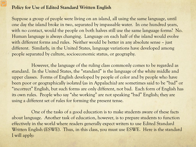#### **Policy for Use of Edited Standard Written English**

Suppose a group of people were living on an island, all using the same language, until one day the island broke in two, separated by impassable water. In one hundred years, with no contact, would the people on both halves still use the same language forms? No. Human language is always changing. Language on each half of the island would evolve with different forms and rules. Neither would be better in any absolute sense – just different. Similarly, in the United States, language variations have developed among people separated by culture, socioeconomic status, or geography.

However, the language of the ruling class commonly comes to be regarded as standard. In the United States, the "standard" is the language of the white middle and upper classes. Forms of English developed by people of color and by people who have been poor or geographically isolated (as in Appalachia) are sometimes said to be "bad" or "incorrect" English, but such forms are only different, not bad. Each form of English has its own rules. People who say "she working" are not speaking "bad" English; they are using a different set of rules for forming the present tense.

One of the tasks of a good education is to make students aware of these facts about language. Another task of education, however, is to prepare students to function effectively in the world where readers generally expect writers to use Edited Standard Written English (ESWE). Thus, in this class, you must use ESWE. Here is the standard I will apply: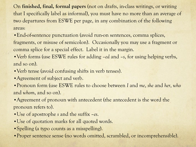On **finished, final, formal papers** (not on drafts, in-class writings, or writing that I specifically label as informal), you must have no more than an average of two departures from ESWE per page, in any combination of the following areas:

•End-of-sentence punctuation (avoid run-on sentences, comma splices, fragments, or misuse of semicolon). Occasionally you may use a fragment or comma splice for a special effect. Label it in the margin.

•Verb forms (use ESWE rules for adding –*ed* and –*s*, for using helping verbs, and so on).

• Verb tense (avoid confusing shifts in verb tenses).

• Agreement of subject and verb.

•Pronoun form (use ESWE rules to choose between *I* and *me*, *she* and *her*, *who* and *whom*, and so on).

• Agreement of pronoun with antecedent (the antecedent is the word the pronoun refers to).

- •Use of apostrophe *s* and the suffix –*es*.
- •Use of quotation marks for all quoted words.
- Spelling (a typo counts as a misspelling).
- •Proper sentence sense (no words omitted, scrambled, or incomprehensible).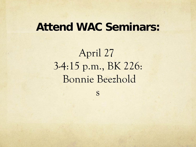#### **Attend WAC Seminars:**

April 27 3-4:15 p.m., BK 226: Bonnie Beezhold

s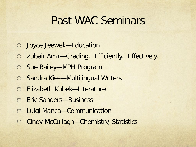#### Past WAC Seminars

- Joyce Jeewek—Education
- Zubair Amir—Grading. Efficiently. Effectively.  $\bigcirc$
- Sue Bailey—MPH Program
- ◯ Sandra Kies—Multilingual Writers
- Elizabeth Kubek—Literature
- Eric Sanders—Business
- Luigi Manca—Communication  $\bigcirc$
- Cindy McCullagh—Chemistry, Statistics $\bigcirc$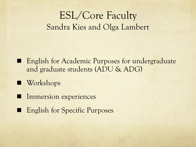#### ESL/Core Faculty Sandra Kies and Olga Lambert

- **English for Academic Purposes for undergraduate** and graduate students (ADU & ADG)
- **Workshops**
- **Immersion experiences**
- English for Specific Purposes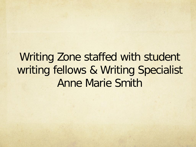### Writing Zone staffed with student writing fellows & Writing Specialist Anne Marie Smith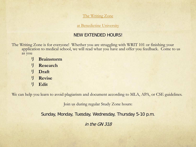#### The Writing Zone

at Benedictine University

#### NEW EXTENDED HOURS!

The Writing Zone is for everyone! Whether you are struggling with WRIT 101 or finishing your application to medical school, we will read what you have and offer you feedback. Come to us as you

- リ **Brainstorm**
- リ **Research**
- リ **Draft**
- リ **Revise**
- リ **Edit**

We can help you learn to avoid plagiarism and document according to MLA, APA, or CSE guidelines.

Join us during regular Study Zone hours:

Sunday, Monday, Tuesday, Wednesday, Thursday 5-10 p.m.

in the GN 318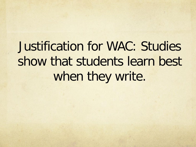Justification for WAC: Studies show that students learn best when they write.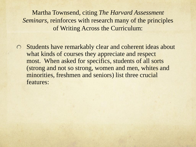Martha Townsend, citing *The Harvard Assessment Seminars*, reinforces with research many of the principles of Writing Across the Curriculum:

Students have remarkably clear and coherent ideas about  $\bigcirc$ what kinds of courses they appreciate and respect most. When asked for specifics, students of all sorts (strong and not so strong, women and men, whites and minorities, freshmen and seniors) list three crucial features: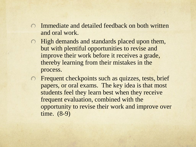- Immediate and detailed feedback on both written  $\bigcap$ and oral work.
- **O** High demands and standards placed upon them, but with plentiful opportunities to revise and improve their work before it receives a grade, thereby learning from their mistakes in the process.
- Frequent checkpoints such as quizzes, tests, brief  $\bigcirc$ papers, or oral exams. The key idea is that most students feel they learn best when they receive frequent evaluation, combined with the opportunity to revise their work and improve over time. (8-9)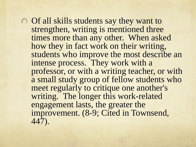Of all skills students say they want to strengthen, writing is mentioned three times more than any other. When asked how they in fact work on their writing, students who improve the most describe an intense process. They work with a professor, or with a writing teacher, or with a small study group of fellow students who meet regularly to critique one another's writing. The longer this work-related engagement lasts, the greater the improvement. (8-9; Cited in Townsend, 447).